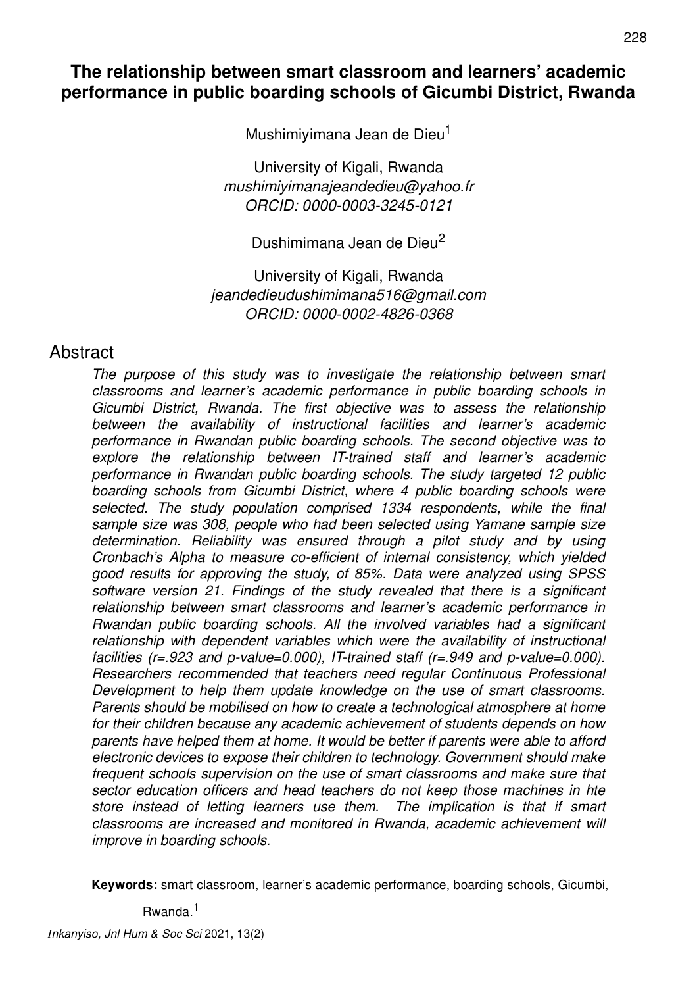# **The relationship between smart classroom and learners' academic performance in public boarding schools of Gicumbi District, Rwanda**

Mushimiyimana Jean de Dieu<sup>1</sup>

University of Kigali, Rwanda *mushimiyimanajeandedieu@yahoo.fr ORCID: 0000-0003-3245-0121*

Dushimimana Jean de Dieu<sup>2</sup>

University of Kigali, Rwanda *jeandedieudushimimana516@gmail.com ORCID: 0000-0002-4826-0368*

## Abstract

*The purpose of this study was to investigate the relationship between smart classrooms and learner's academic performance in public boarding schools in Gicumbi District, Rwanda. The first objective was to assess the relationship between the availability of instructional facilities and learner's academic performance in Rwandan public boarding schools. The second objective was to explore the relationship between IT-trained staff and learner's academic performance in Rwandan public boarding schools. The study targeted 12 public boarding schools from Gicumbi District, where 4 public boarding schools were selected. The study population comprised 1334 respondents, while the final sample size was 308, people who had been selected using Yamane sample size determination. Reliability was ensured through a pilot study and by using Cronbach's Alpha to measure co-efficient of internal consistency, which yielded good results for approving the study, of 85%. Data were analyzed using SPSS software version 21. Findings of the study revealed that there is a significant relationship between smart classrooms and learner's academic performance in Rwandan public boarding schools. All the involved variables had a significant relationship with dependent variables which were the availability of instructional facilities (r=.923 and p-value=0.000), IT-trained staff (r=.949 and p-value=0.000). Researchers recommended that teachers need regular Continuous Professional Development to help them update knowledge on the use of smart classrooms. Parents should be mobilised on how to create a technological atmosphere at home for their children because any academic achievement of students depends on how parents have helped them at home. It would be better if parents were able to afford electronic devices to expose their children to technology. Government should make frequent schools supervision on the use of smart classrooms and make sure that sector education officers and head teachers do not keep those machines in hte store instead of letting learners use them. The implication is that if smart classrooms are increased and monitored in Rwanda, academic achievement will improve in boarding schools.*

**Keywords:** smart classroom, learner's academic performance, boarding schools, Gicumbi,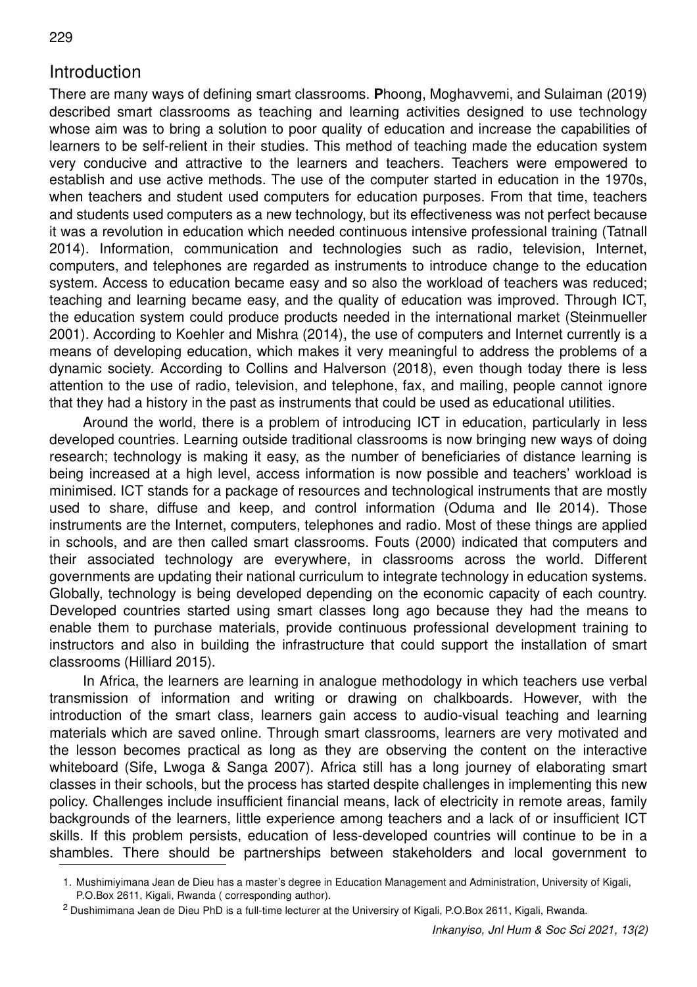# Introduction

229

There are many ways of defining smart classrooms. **P**hoong, Moghavvemi, and Sulaiman (2019) described smart classrooms as teaching and learning activities designed to use technology whose aim was to bring a solution to poor quality of education and increase the capabilities of learners to be self-relient in their studies. This method of teaching made the education system very conducive and attractive to the learners and teachers. Teachers were empowered to establish and use active methods. The use of the computer started in education in the 1970s, when teachers and student used computers for education purposes. From that time, teachers and students used computers as a new technology, but its effectiveness was not perfect because it was a revolution in education which needed continuous intensive professional training (Tatnall 2014). Information, communication and technologies such as radio, television, Internet, computers, and telephones are regarded as instruments to introduce change to the education system. Access to education became easy and so also the workload of teachers was reduced; teaching and learning became easy, and the quality of education was improved. Through ICT, the education system could produce products needed in the international market (Steinmueller 2001). According to Koehler and Mishra (2014), the use of computers and Internet currently is a means of developing education, which makes it very meaningful to address the problems of a dynamic society. According to Collins and Halverson (2018), even though today there is less attention to the use of radio, television, and telephone, fax, and mailing, people cannot ignore that they had a history in the past as instruments that could be used as educational utilities.

Around the world, there is a problem of introducing ICT in education, particularly in less developed countries. Learning outside traditional classrooms is now bringing new ways of doing research; technology is making it easy, as the number of beneficiaries of distance learning is being increased at a high level, access information is now possible and teachers' workload is minimised. ICT stands for a package of resources and technological instruments that are mostly used to share, diffuse and keep, and control information (Oduma and Ile 2014). Those instruments are the Internet, computers, telephones and radio. Most of these things are applied in schools, and are then called smart classrooms. Fouts (2000) indicated that computers and their associated technology are everywhere, in classrooms across the world. Different governments are updating their national curriculum to integrate technology in education systems. Globally, technology is being developed depending on the economic capacity of each country. Developed countries started using smart classes long ago because they had the means to enable them to purchase materials, provide continuous professional development training to instructors and also in building the infrastructure that could support the installation of smart classrooms (Hilliard 2015).

In Africa, the learners are learning in analogue methodology in which teachers use verbal transmission of information and writing or drawing on chalkboards. However, with the introduction of the smart class, learners gain access to audio-visual teaching and learning materials which are saved online. Through smart classrooms, learners are very motivated and the lesson becomes practical as long as they are observing the content on the interactive whiteboard (Sife, Lwoga & Sanga 2007). Africa still has a long journey of elaborating smart classes in their schools, but the process has started despite challenges in implementing this new policy. Challenges include insufficient financial means, lack of electricity in remote areas, family backgrounds of the learners, little experience among teachers and a lack of or insufficient ICT skills. If this problem persists, education of less-developed countries will continue to be in a shambles. There should be partnerships between stakeholders and local government to

<sup>1.</sup> Mushimiyimana Jean de Dieu has a master's degree in Education Management and Administration, University of Kigali, P.O.Box 2611, Kigali, Rwanda ( corresponding author).

<sup>&</sup>lt;sup>2</sup> Dushimimana Jean de Dieu PhD is a full-time lecturer at the Universiry of Kigali, P.O.Box 2611, Kigali, Rwanda.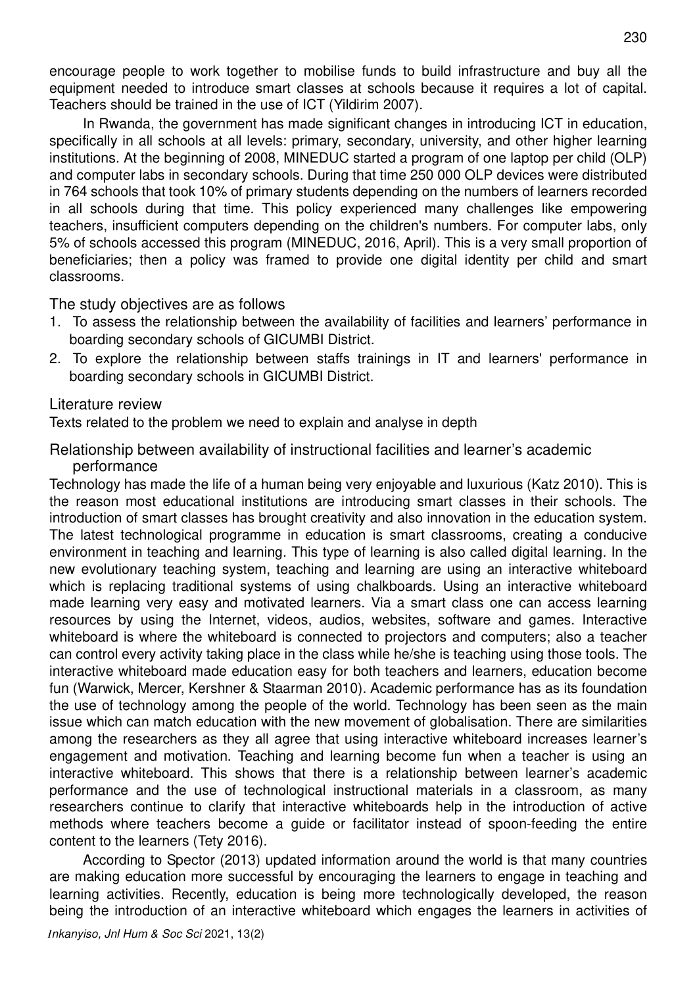encourage people to work together to mobilise funds to build infrastructure and buy all the equipment needed to introduce smart classes at schools because it requires a lot of capital. Teachers should be trained in the use of ICT (Yildirim 2007).

In Rwanda, the government has made significant changes in introducing ICT in education. specifically in all schools at all levels: primary, secondary, university, and other higher learning institutions. At the beginning of 2008, MINEDUC started a program of one laptop per child (OLP) and computer labs in secondary schools. During that time 250 000 OLP devices were distributed in 764 schools that took 10% of primary students depending on the numbers of learners recorded in all schools during that time. This policy experienced many challenges like empowering teachers, insufficient computers depending on the children's numbers. For computer labs, only 5% of schools accessed this program (MINEDUC, 2016, April). This is a very small proportion of beneficiaries; then a policy was framed to provide one digital identity per child and smart classrooms.

The study objectives are as follows

- 1. To assess the relationship between the availability of facilities and learners' performance in boarding secondary schools of GICUMBI District.
- 2. To explore the relationship between staffs trainings in IT and learners' performance in boarding secondary schools in GICUMBI District.

#### Literature review

Texts related to the problem we need to explain and analyse in depth

Relationship between availability of instructional facilities and learner's academic performance

Technology has made the life of a human being very enjoyable and luxurious (Katz 2010). This is the reason most educational institutions are introducing smart classes in their schools. The introduction of smart classes has brought creativity and also innovation in the education system. The latest technological programme in education is smart classrooms, creating a conducive environment in teaching and learning. This type of learning is also called digital learning. In the new evolutionary teaching system, teaching and learning are using an interactive whiteboard which is replacing traditional systems of using chalkboards. Using an interactive whiteboard made learning very easy and motivated learners. Via a smart class one can access learning resources by using the Internet, videos, audios, websites, software and games. Interactive whiteboard is where the whiteboard is connected to projectors and computers; also a teacher can control every activity taking place in the class while he/she is teaching using those tools. The interactive whiteboard made education easy for both teachers and learners, education become fun (Warwick, Mercer, Kershner & Staarman 2010). Academic performance has as its foundation the use of technology among the people of the world. Technology has been seen as the main issue which can match education with the new movement of globalisation. There are similarities among the researchers as they all agree that using interactive whiteboard increases learner's engagement and motivation. Teaching and learning become fun when a teacher is using an interactive whiteboard. This shows that there is a relationship between learner's academic performance and the use of technological instructional materials in a classroom, as many researchers continue to clarify that interactive whiteboards help in the introduction of active methods where teachers become a guide or facilitator instead of spoon-feeding the entire content to the learners (Tety 2016).

According to Spector (2013) updated information around the world is that many countries are making education more successful by encouraging the learners to engage in teaching and learning activities. Recently, education is being more technologically developed, the reason being the introduction of an interactive whiteboard which engages the learners in activities of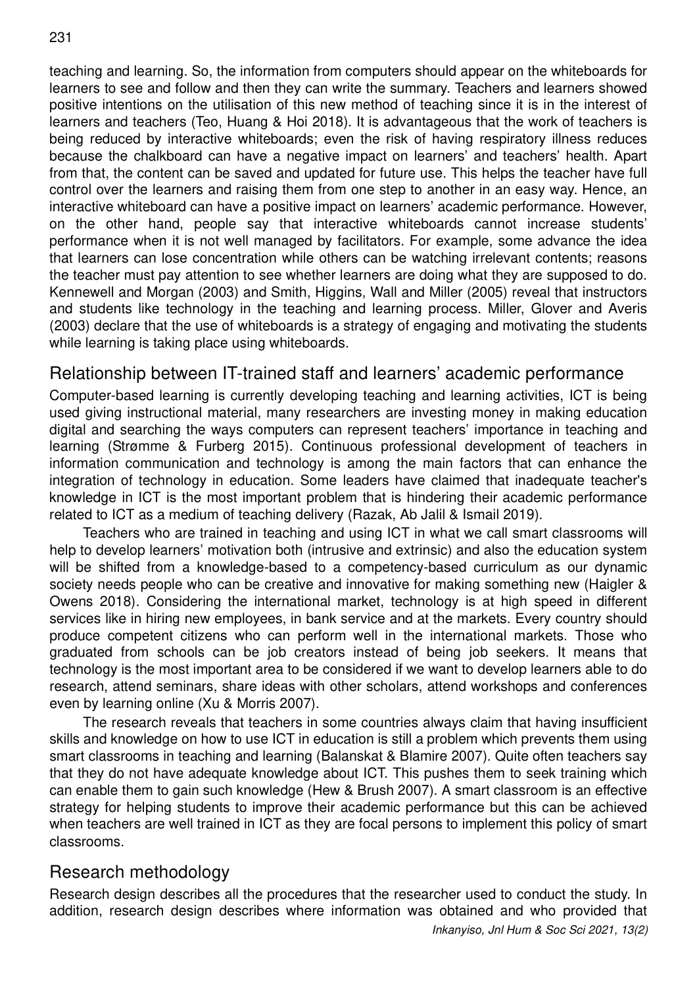teaching and learning. So, the information from computers should appear on the whiteboards for learners to see and follow and then they can write the summary. Teachers and learners showed positive intentions on the utilisation of this new method of teaching since it is in the interest of learners and teachers (Teo, Huang & Hoi 2018). It is advantageous that the work of teachers is being reduced by interactive whiteboards; even the risk of having respiratory illness reduces because the chalkboard can have a negative impact on learners' and teachers' health. Apart from that, the content can be saved and updated for future use. This helps the teacher have full control over the learners and raising them from one step to another in an easy way. Hence, an interactive whiteboard can have a positive impact on learners' academic performance. However, on the other hand, people say that interactive whiteboards cannot increase students' performance when it is not well managed by facilitators. For example, some advance the idea that learners can lose concentration while others can be watching irrelevant contents; reasons the teacher must pay attention to see whether learners are doing what they are supposed to do. Kennewell and Morgan (2003) and Smith, Higgins, Wall and Miller (2005) reveal that instructors and students like technology in the teaching and learning process. Miller, Glover and Averis (2003) declare that the use of whiteboards is a strategy of engaging and motivating the students while learning is taking place using whiteboards.

## Relationship between IT-trained staff and learners' academic performance

Computer-based learning is currently developing teaching and learning activities, ICT is being used giving instructional material, many researchers are investing money in making education digital and searching the ways computers can represent teachers' importance in teaching and learning (Strømme & Furberg 2015). Continuous professional development of teachers in information communication and technology is among the main factors that can enhance the integration of technology in education. Some leaders have claimed that inadequate teacher's knowledge in ICT is the most important problem that is hindering their academic performance related to ICT as a medium of teaching delivery (Razak, Ab Jalil & Ismail 2019).

Teachers who are trained in teaching and using ICT in what we call smart classrooms will help to develop learners' motivation both (intrusive and extrinsic) and also the education system will be shifted from a knowledge-based to a competency-based curriculum as our dynamic society needs people who can be creative and innovative for making something new (Haigler & Owens 2018). Considering the international market, technology is at high speed in different services like in hiring new employees, in bank service and at the markets. Every country should produce competent citizens who can perform well in the international markets. Those who graduated from schools can be job creators instead of being job seekers. It means that technology is the most important area to be considered if we want to develop learners able to do research, attend seminars, share ideas with other scholars, attend workshops and conferences even by learning online (Xu & Morris 2007).

The research reveals that teachers in some countries always claim that having insufficient skills and knowledge on how to use ICT in education is still a problem which prevents them using smart classrooms in teaching and learning (Balanskat & Blamire 2007). Quite often teachers say that they do not have adequate knowledge about ICT. This pushes them to seek training which can enable them to gain such knowledge (Hew & Brush 2007). A smart classroom is an effective strategy for helping students to improve their academic performance but this can be achieved when teachers are well trained in ICT as they are focal persons to implement this policy of smart classrooms.

## Research methodology

Research design describes all the procedures that the researcher used to conduct the study. In addition, research design describes where information was obtained and who provided that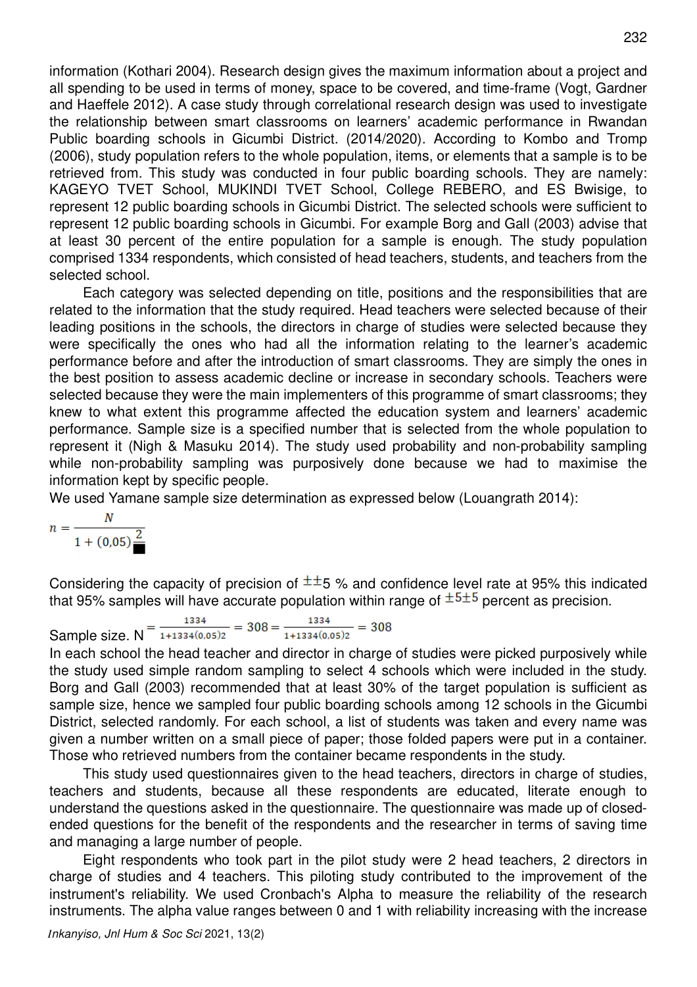information (Kothari 2004). Research design gives the maximum information about a project and all spending to be used in terms of money, space to be covered, and time-frame (Vogt, Gardner and Haeffele 2012). A case study through correlational research design was used to investigate the relationship between smart classrooms on learners' academic performance in Rwandan Public boarding schools in Gicumbi District. (2014/2020). According to Kombo and Tromp (2006), study population refers to the whole population, items, or elements that a sample is to be retrieved from. This study was conducted in four public boarding schools. They are namely: KAGEYO TVET School, MUKINDI TVET School, College REBERO, and ES Bwisige, to represent 12 public boarding schools in Gicumbi District. The selected schools were sufficient to represent 12 public boarding schools in Gicumbi. For example Borg and Gall (2003) advise that at least 30 percent of the entire population for a sample is enough. The study population comprised 1334 respondents, which consisted of head teachers, students, and teachers from the selected school.

Each category was selected depending on title, positions and the responsibilities that are related to the information that the study required. Head teachers were selected because of their leading positions in the schools, the directors in charge of studies were selected because they were specifically the ones who had all the information relating to the learner's academic performance before and after the introduction of smart classrooms. They are simply the ones in the best position to assess academic decline or increase in secondary schools. Teachers were selected because they were the main implementers of this programme of smart classrooms; they knew to what extent this programme affected the education system and learners' academic performance. Sample size is a specified number that is selected from the whole population to represent it (Nigh & Masuku 2014). The study used probability and non-probability sampling while non-probability sampling was purposively done because we had to maximise the information kept by specific people.

We used Yamane sample size determination as expressed below (Louangrath 2014):

$$
n = \frac{N}{1 + (0.05)^{\frac{2}{n}}}
$$

Considering the capacity of precision of  $\pm \pm 5$  % and confidence level rate at 95% this indicated that 95% samples will have accurate population within range of  $\pm$ <sup>5 $\pm$ 5</sup> percent as precision.

Sample size.  $N = \frac{1334}{1+1334(0,05)2} = 308 = \frac{1334}{1+1334(0,05)2} = 308$ 

In each school the head teacher and director in charge of studies were picked purposively while the study used simple random sampling to select 4 schools which were included in the study. Borg and Gall (2003) recommended that at least 30% of the target population is sufficient as sample size, hence we sampled four public boarding schools among 12 schools in the Gicumbi District, selected randomly. For each school, a list of students was taken and every name was given a number written on a small piece of paper; those folded papers were put in a container. Those who retrieved numbers from the container became respondents in the study.

This study used questionnaires given to the head teachers, directors in charge of studies, teachers and students, because all these respondents are educated, literate enough to understand the questions asked in the questionnaire. The questionnaire was made up of closedended questions for the benefit of the respondents and the researcher in terms of saving time and managing a large number of people.

Eight respondents who took part in the pilot study were 2 head teachers, 2 directors in charge of studies and 4 teachers. This piloting study contributed to the improvement of the instrument's reliability. We used Cronbach's Alpha to measure the reliability of the research instruments. The alpha value ranges between 0 and 1 with reliability increasing with the increase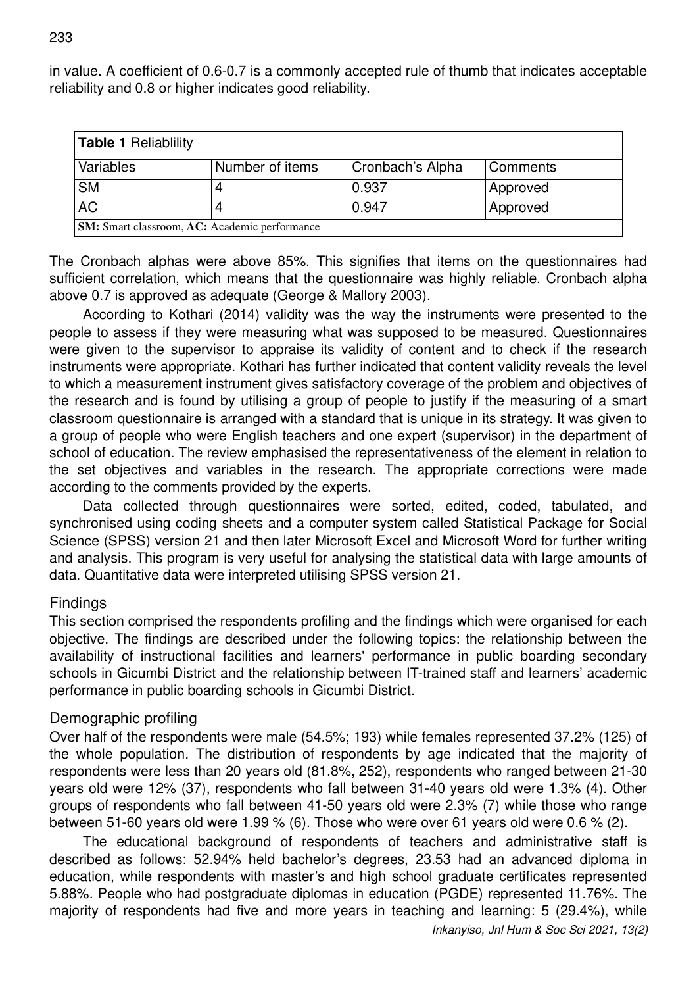in value. A coefficient of 0.6-0.7 is a commonly accepted rule of thumb that indicates acceptable reliability and 0.8 or higher indicates good reliability.

| <b>Table 1 Reliablility</b>                   |                 |                  |                 |  |  |  |  |  |
|-----------------------------------------------|-----------------|------------------|-----------------|--|--|--|--|--|
| Variables                                     | Number of items | Cronbach's Alpha | Comments        |  |  |  |  |  |
| <b>SM</b>                                     |                 | 0.937            | Approved        |  |  |  |  |  |
| <b>AC</b>                                     |                 | 0.947            | <b>Approved</b> |  |  |  |  |  |
| SM: Smart classroom, AC: Academic performance |                 |                  |                 |  |  |  |  |  |

The Cronbach alphas were above 85%. This signifies that items on the questionnaires had sufficient correlation, which means that the questionnaire was highly reliable. Cronbach alpha above 0.7 is approved as adequate (George & Mallory 2003).

According to Kothari (2014) validity was the way the instruments were presented to the people to assess if they were measuring what was supposed to be measured. Questionnaires were given to the supervisor to appraise its validity of content and to check if the research instruments were appropriate. Kothari has further indicated that content validity reveals the level to which a measurement instrument gives satisfactory coverage of the problem and objectives of the research and is found by utilising a group of people to justify if the measuring of a smart classroom questionnaire is arranged with a standard that is unique in its strategy. It was given to a group of people who were English teachers and one expert (supervisor) in the department of school of education. The review emphasised the representativeness of the element in relation to the set objectives and variables in the research. The appropriate corrections were made according to the comments provided by the experts.

Data collected through questionnaires were sorted, edited, coded, tabulated, and synchronised using coding sheets and a computer system called Statistical Package for Social Science (SPSS) version 21 and then later Microsoft Excel and Microsoft Word for further writing and analysis. This program is very useful for analysing the statistical data with large amounts of data. Quantitative data were interpreted utilising SPSS version 21.

#### **Findings**

This section comprised the respondents profiling and the findings which were organised for each objective. The findings are described under the following topics: the relationship between the availability of instructional facilities and learners' performance in public boarding secondary schools in Gicumbi District and the relationship between IT-trained staff and learners' academic performance in public boarding schools in Gicumbi District.

### Demographic profiling

Over half of the respondents were male (54.5%; 193) while females represented 37.2% (125) of the whole population. The distribution of respondents by age indicated that the majority of respondents were less than 20 years old (81.8%, 252), respondents who ranged between 21-30 years old were 12% (37), respondents who fall between 31-40 years old were 1.3% (4). Other groups of respondents who fall between 41-50 years old were 2.3% (7) while those who range between 51-60 years old were 1.99 % (6). Those who were over 61 years old were 0.6 % (2).

The educational background of respondents of teachers and administrative staff is described as follows: 52.94% held bachelor's degrees, 23.53 had an advanced diploma in education, while respondents with master's and high school graduate certificates represented 5.88%. People who had postgraduate diplomas in education (PGDE) represented 11.76%. The majority of respondents had five and more years in teaching and learning: 5 (29.4%), while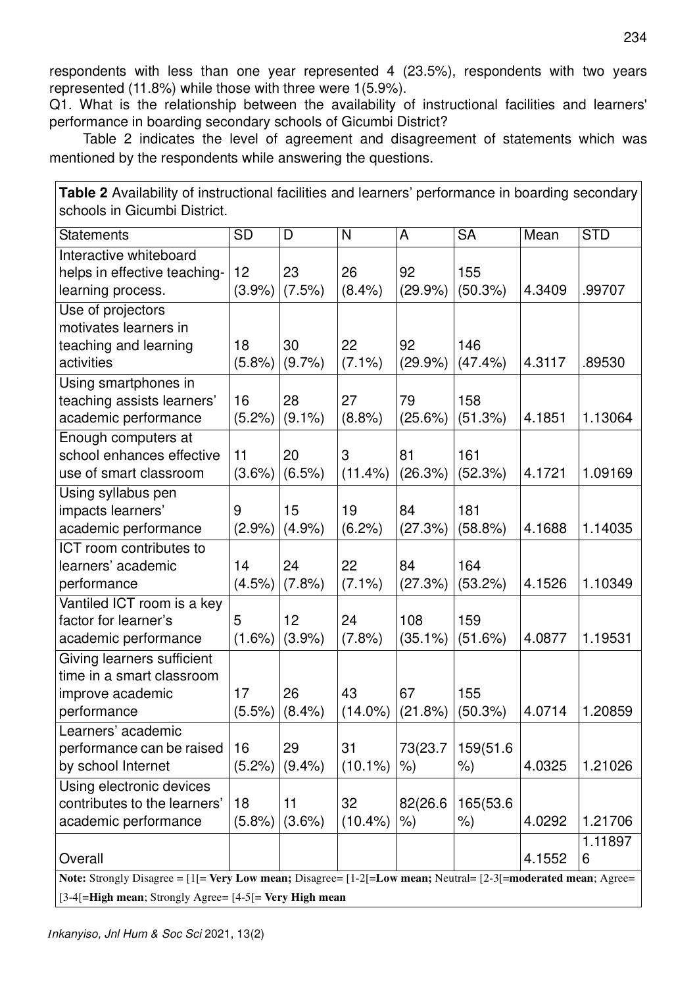respondents with less than one year represented 4 (23.5%), respondents with two years represented (11.8%) while those with three were 1(5.9%).

Q1. What is the relationship between the availability of instructional facilities and learners' performance in boarding secondary schools of Gicumbi District?

Table 2 indicates the level of agreement and disagreement of statements which was mentioned by the respondents while answering the questions.

**Table 2** Availability of instructional facilities and learners' performance in boarding secondary schools in Gicumbi District.

| <b>Statements</b>                                                                                                           | <b>SD</b> | D         | N          | A          | <b>SA</b> | Mean   | <b>STD</b> |  |  |
|-----------------------------------------------------------------------------------------------------------------------------|-----------|-----------|------------|------------|-----------|--------|------------|--|--|
| Interactive whiteboard                                                                                                      |           |           |            |            |           |        |            |  |  |
| helps in effective teaching-                                                                                                | 12        | 23        | 26         | 92         | 155       |        |            |  |  |
| learning process.                                                                                                           | (3.9%)    | (7.5%)    | $(8.4\%)$  | (29.9%     | (50.3%)   | 4.3409 | .99707     |  |  |
| Use of projectors                                                                                                           |           |           |            |            |           |        |            |  |  |
| motivates learners in                                                                                                       |           |           |            |            |           |        |            |  |  |
| teaching and learning                                                                                                       | 18        | 30        | 22         | 92         | 146       |        |            |  |  |
| activities                                                                                                                  | (5.8%)    | (9.7%     | $(7.1\%)$  | (29.9%     | (47.4%    | 4.3117 | .89530     |  |  |
| Using smartphones in                                                                                                        |           |           |            |            |           |        |            |  |  |
| teaching assists learners'                                                                                                  | 16        | 28        | 27         | 79         | 158       |        |            |  |  |
| academic performance                                                                                                        | (5.2%)    | $(9.1\%)$ | (8.8%)     | $(25.6\%)$ | (51.3%)   | 4.1851 | 1.13064    |  |  |
| Enough computers at                                                                                                         |           |           |            |            |           |        |            |  |  |
| school enhances effective                                                                                                   | 11        | 20        | 3          | 81         | 161       |        |            |  |  |
| use of smart classroom                                                                                                      | (3.6%)    | $(6.5\%)$ | $(11.4\%)$ | (26.3%)    | (52.3%)   | 4.1721 | 1.09169    |  |  |
| Using syllabus pen                                                                                                          |           |           |            |            |           |        |            |  |  |
| impacts learners'                                                                                                           | 9         | 15        | 19         | 84         | 181       |        |            |  |  |
| academic performance                                                                                                        | (2.9%     | (4.9%     | (6.2%)     | (27.3%)    | (58.8%)   | 4.1688 | 1.14035    |  |  |
| ICT room contributes to                                                                                                     |           |           |            |            |           |        |            |  |  |
| learners' academic                                                                                                          | 14        | 24        | 22         | 84         | 164       |        |            |  |  |
| performance                                                                                                                 | (4.5%)    | (7.8%)    | $(7.1\%)$  | (27.3%)    | (53.2%)   | 4.1526 | 1.10349    |  |  |
| Vantiled ICT room is a key                                                                                                  |           |           |            |            |           |        |            |  |  |
| factor for learner's                                                                                                        | 5         | 12        | 24         | 108        | 159       |        |            |  |  |
| academic performance                                                                                                        | $(1.6\%)$ | (3.9%)    | (7.8%)     | $(35.1\%)$ | (51.6%)   | 4.0877 | 1.19531    |  |  |
| Giving learners sufficient                                                                                                  |           |           |            |            |           |        |            |  |  |
| time in a smart classroom                                                                                                   |           |           |            |            |           |        |            |  |  |
| improve academic                                                                                                            | 17        | 26        | 43         | 67         | 155       |        |            |  |  |
| performance                                                                                                                 | (5.5%)    | (8.4%)    | $(14.0\%)$ | (21.8%)    | (50.3%)   | 4.0714 | 1.20859    |  |  |
| Learners' academic                                                                                                          |           |           |            |            |           |        |            |  |  |
| performance can be raised                                                                                                   | 16        | 29        | 31         | 73(23.7    | 159(51.6  |        |            |  |  |
| by school Internet                                                                                                          | (5.2%)    | (9.4% )   | $(10.1\%)$ | %          | %)        | 4.0325 | 1.21026    |  |  |
| Using electronic devices                                                                                                    |           |           |            |            |           |        |            |  |  |
| contributes to the learners'                                                                                                | 18        | 11        | 32         | 82(26.6    | 165(53.6  |        |            |  |  |
| academic performance                                                                                                        | (5.8%)    | $(3.6\%)$ | $(10.4\%)$ | %          | %)        | 4.0292 | 1.21706    |  |  |
|                                                                                                                             |           |           |            |            |           |        | 1.11897    |  |  |
| Overall                                                                                                                     |           |           |            |            |           | 4.1552 | 6          |  |  |
| Note: Strongly Disagree = $[1]$ = Very Low mean; Disagree = $[1-2]$ = Low mean; Neutral = $[2-3]$ = moderated mean; Agree = |           |           |            |            |           |        |            |  |  |
| [3-4[=High mean; Strongly Agree= [4-5] = Very High mean                                                                     |           |           |            |            |           |        |            |  |  |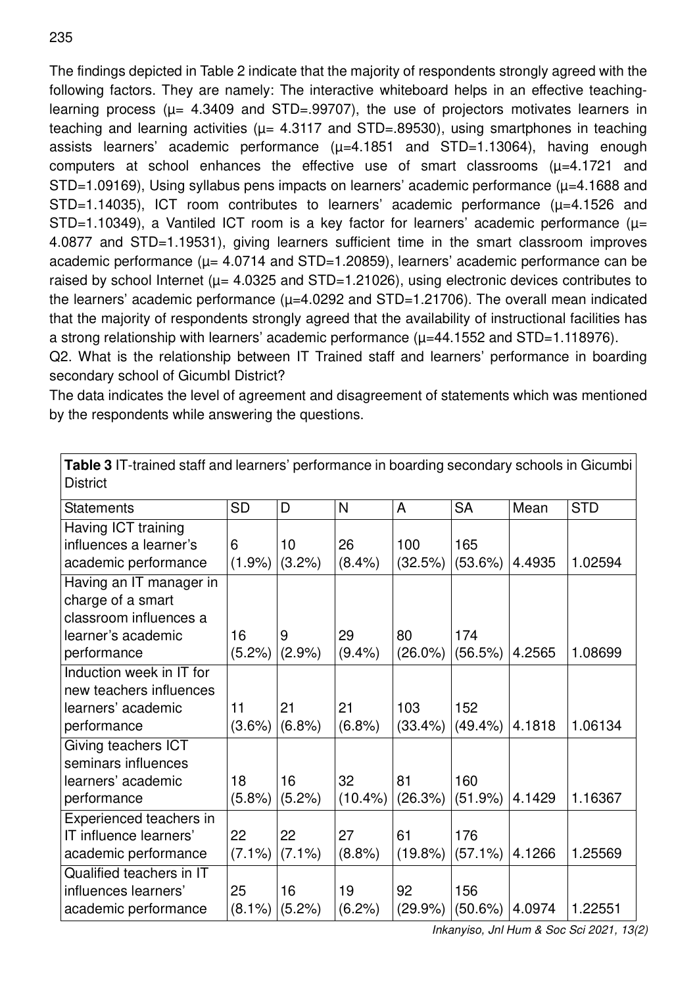The findings depicted in Table 2 indicate that the majority of respondents strongly agreed with the following factors. They are namely: The interactive whiteboard helps in an effective teachinglearning process ( $\mu$  = 4.3409 and STD=.99707), the use of projectors motivates learners in teaching and learning activities ( $\mu$ = 4.3117 and STD=.89530), using smartphones in teaching assists learners' academic performance  $(\mu=4.1851$  and STD=1.13064), having enough computers at school enhances the effective use of smart classrooms  $(\mu=4.1721$  and  $STD=1.09169$ ), Using syllabus pens impacts on learners' academic performance ( $\mu=4.1688$  and  $STD=1.14035$ ), ICT room contributes to learners' academic performance ( $\mu=4.1526$  and STD=1.10349), a Vantiled ICT room is a key factor for learners' academic performance ( $\mu$ = 4.0877 and STD=1.19531), giving learners sufficient time in the smart classroom improves academic performance ( $\mu$ = 4.0714 and STD=1.20859), learners' academic performance can be raised by school Internet ( $\mu$  = 4.0325 and STD=1.21026), using electronic devices contributes to the learners' academic performance  $(\mu=4.0292$  and STD=1.21706). The overall mean indicated that the majority of respondents strongly agreed that the availability of instructional facilities has a strong relationship with learners' academic performance  $(\mu=44.1552$  and STD=1.118976).

Q2. What is the relationship between IT Trained staff and learners' performance in boarding secondary school of GicumbI District?

The data indicates the level of agreement and disagreement of statements which was mentioned by the respondents while answering the questions.

**Table 3** IT-trained staff and learners' performance in boarding secondary schools in Gicumbi

| <b>District</b>                                                                                             |                 |                 |                  |                   |                   |        |            |
|-------------------------------------------------------------------------------------------------------------|-----------------|-----------------|------------------|-------------------|-------------------|--------|------------|
| <b>Statements</b>                                                                                           | <b>SD</b>       | D               | N                | A                 | <b>SA</b>         | Mean   | <b>STD</b> |
| Having ICT training<br>influences a learner's<br>academic performance                                       | 6<br>(1.9%      | 10<br>(3.2%)    | 26<br>(8.4%)     | 100<br>(32.5%)    | 165<br>(53.6%)    | 4.4935 | 1.02594    |
| Having an IT manager in<br>charge of a smart<br>classroom influences a<br>learner's academic<br>performance | 16<br>$(5.2\%)$ | 9<br>(2.9%      | 29<br>(9.4% )    | 80<br>$(26.0\%)$  | 174<br>(56.5%)    | 4.2565 | 1.08699    |
| Induction week in IT for<br>new teachers influences<br>learners' academic<br>performance                    | 11<br>$(3.6\%)$ | 21<br>(6.8%)    | 21<br>(6.8%)     | 103<br>$(33.4\%)$ | 152<br>(49.4%     | 4.1818 | 1.06134    |
| Giving teachers ICT<br>seminars influences<br>learners' academic<br>performance                             | 18<br>(5.8%)    | 16<br>(5.2%)    | 32<br>$(10.4\%)$ | 81<br>(26.3%)     | 160<br>(51.9%)    | 4.1429 | 1.16367    |
| Experienced teachers in<br>IT influence learners'<br>academic performance                                   | 22<br>$(7.1\%)$ | 22<br>$(7.1\%)$ | 27<br>(8.8%)     | 61<br>$(19.8\%)$  | 176<br>$(57.1\%)$ | 4.1266 | 1.25569    |
| Qualified teachers in IT<br>influences learners'<br>academic performance                                    | 25<br>$(8.1\%)$ | 16<br>(5.2%)    | 19<br>$(6.2\%)$  | 92<br>$(29.9\%)$  | 156<br>(50.6%)    | 4.0974 | 1.22551    |

*Inkanyiso, Jnl Hum & Soc Sci 2021, 13(2)*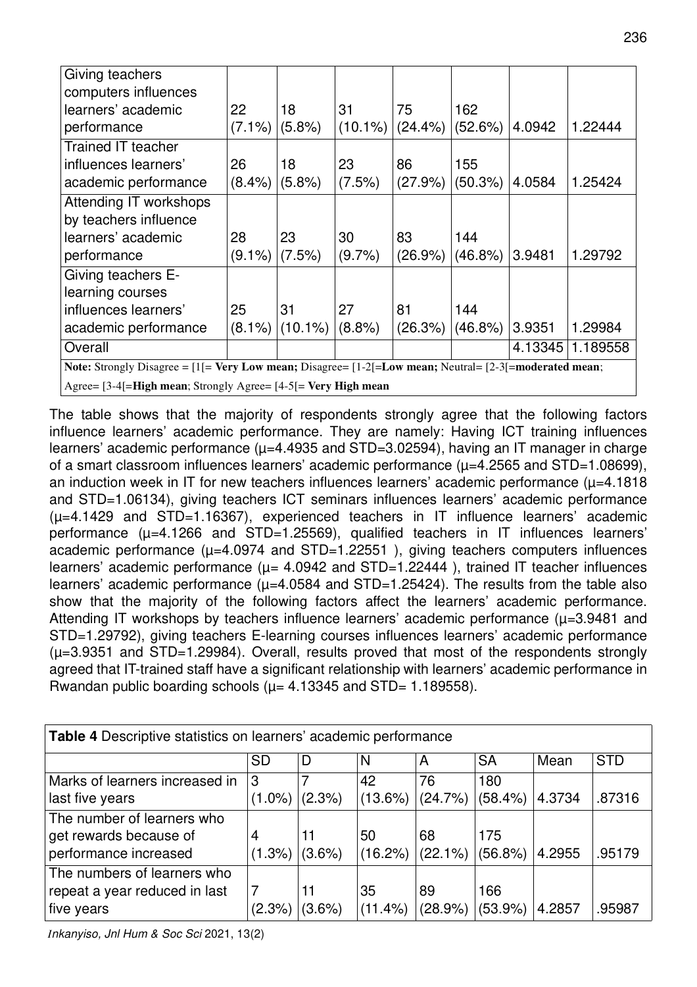| Giving teachers                                                                                                            |           |            |            |            |                   |         |          |  |
|----------------------------------------------------------------------------------------------------------------------------|-----------|------------|------------|------------|-------------------|---------|----------|--|
| computers influences                                                                                                       |           |            |            |            |                   |         |          |  |
| learners' academic                                                                                                         | 22        | 18         | 31         | 75         | 162               |         |          |  |
| performance                                                                                                                | $(7.1\%)$ | $(5.8\%)$  | $(10.1\%)$ | $(24.4\%)$ | $(52.6\%)$        | 4.0942  | 1.22444  |  |
| Trained IT teacher                                                                                                         |           |            |            |            |                   |         |          |  |
| influences learners'                                                                                                       | 26        | 18         | 23         | 86         | 155               |         |          |  |
| academic performance                                                                                                       | $(8.4\%)$ | (5.8%)     | (7.5%)     | $(27.9\%)$ | (50.3%)           | 4.0584  | 1.25424  |  |
| Attending IT workshops                                                                                                     |           |            |            |            |                   |         |          |  |
| by teachers influence                                                                                                      |           |            |            |            |                   |         |          |  |
| learners' academic                                                                                                         | 28        | 23         | 30         | 83         | 144               |         |          |  |
| performance                                                                                                                | $(9.1\%)$ | (7.5%)     | (9.7%      | $(26.9\%)$ | $(46.8\%)$        | 3.9481  | 1.29792  |  |
| Giving teachers E-                                                                                                         |           |            |            |            |                   |         |          |  |
| learning courses                                                                                                           |           |            |            |            |                   |         |          |  |
| influences learners'                                                                                                       | 25        | 31         | 27         | 81         | 144               |         |          |  |
| academic performance                                                                                                       | $(8.1\%)$ | $(10.1\%)$ | $(8.8\%)$  | (26.3%)    | $(46.8\%)$ 3.9351 |         | 1.29984  |  |
| Overall                                                                                                                    |           |            |            |            |                   | 4.13345 | 1.189558 |  |
| <b>Note:</b> Strongly Disagree = $[1]$ = Very Low mean; Disagree = $[1-2]$ = Low mean; Neutral = $[2-3]$ = moderated mean; |           |            |            |            |                   |         |          |  |
| Agree= [3-4[=High mean; Strongly Agree= [4-5[= Very High mean                                                              |           |            |            |            |                   |         |          |  |

The table shows that the majority of respondents strongly agree that the following factors influence learners' academic performance. They are namely: Having ICT training influences learners' academic performance ( $\mu$ =4.4935 and STD=3.02594), having an IT manager in charge of a smart classroom influences learners' academic performance  $(\mu=4.2565$  and STD=1.08699), an induction week in IT for new teachers influences learners' academic performance  $(\mu=4.1818)$ and STD=1.06134), giving teachers ICT seminars influences learners' academic performance  $(\mu=4.1429$  and STD=1.16367), experienced teachers in IT influence learners' academic performance  $(\mu=4.1266$  and STD=1.25569), qualified teachers in IT influences learners' academic performance  $(\mu=4.0974$  and STD=1.22551 ), giving teachers computers influences learners' academic performance ( $\mu$  = 4.0942 and STD=1.22444), trained IT teacher influences learners' academic performance  $(\mu=4.0584$  and STD=1.25424). The results from the table also show that the majority of the following factors affect the learners' academic performance. Attending IT workshops by teachers influence learners' academic performance  $(\mu=3.9481$  and STD=1.29792), giving teachers E-learning courses influences learners' academic performance  $(\mu=3.9351$  and STD=1.29984). Overall, results proved that most of the respondents strongly agreed that IT-trained staff have a significant relationship with learners' academic performance in Rwandan public boarding schools ( $\mu$  = 4.13345 and STD = 1.189558).

| Table 4 Descriptive statistics on learners' academic performance |           |           |            |            |                     |        |            |  |  |
|------------------------------------------------------------------|-----------|-----------|------------|------------|---------------------|--------|------------|--|--|
|                                                                  | <b>SD</b> | D         | N          | A          | <b>SA</b>           | Mean   | <b>STD</b> |  |  |
| Marks of learners increased in                                   | 3         |           | 42         | 76         | 180                 |        |            |  |  |
| last five years                                                  | $(1.0\%)$ | $(2.3\%)$ | $(13.6\%)$ | (24.7%)    | $(58.4\%)$          | 4.3734 | .87316     |  |  |
| The number of learners who                                       |           |           |            |            |                     |        |            |  |  |
| get rewards because of                                           | 4         | 11        | 50         | 68         | 175                 |        |            |  |  |
| performance increased                                            | (1.3%)    | $(3.6\%)$ | (16.2%)    | $(22.1\%)$ | $(56.8\%)$   4.2955 |        | .95179     |  |  |
| The numbers of learners who                                      |           |           |            |            |                     |        |            |  |  |
| repeat a year reduced in last                                    | 7         | 11        | 35         | 89         | 166                 |        |            |  |  |
| five years                                                       | (2.3%)    | (3.6%)    | $(11.4\%)$ | (28.9%)    | $(53.9\%)$          | 4.2857 | .95987     |  |  |

*Inkanyiso, Jnl Hum & Soc Sci* 2021, 13(2)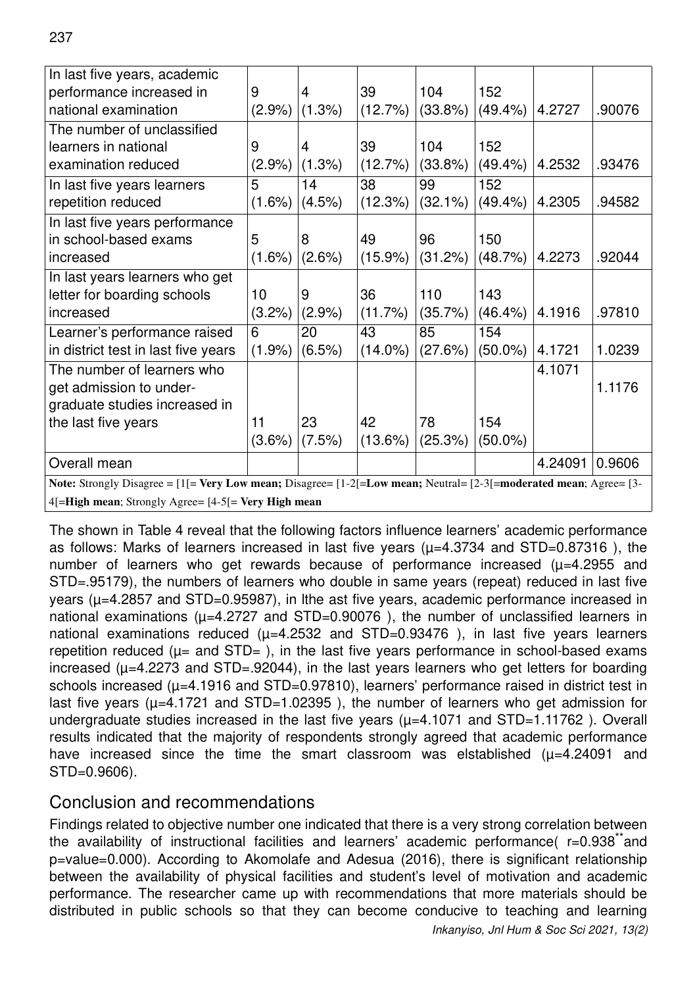| In last five years, academic                                                                                      |           |        |            |            |            |         |        |  |
|-------------------------------------------------------------------------------------------------------------------|-----------|--------|------------|------------|------------|---------|--------|--|
| performance increased in                                                                                          | 9         | 4      | 39         | 104        | 152        |         |        |  |
| national examination                                                                                              | $(2.9\%)$ | (1.3%) | (12.7%)    | $(33.8\%)$ | $(49.4\%)$ | 4.2727  | .90076 |  |
| The number of unclassified                                                                                        |           |        |            |            |            |         |        |  |
| learners in national                                                                                              | 9         | 4      | 39         | 104        | 152        |         |        |  |
| examination reduced                                                                                               | $(2.9\%)$ | (1.3%) | (12.7%)    | $(33.8\%)$ | $(49.4\%)$ | 4.2532  | .93476 |  |
| In last five years learners                                                                                       | 5         | 14     | 38         | 99         | 152        |         |        |  |
| repetition reduced                                                                                                | $(1.6\%)$ | (4.5%) | (12.3%)    | $(32.1\%)$ | (49.4%     | 4.2305  | .94582 |  |
| In last five years performance                                                                                    |           |        |            |            |            |         |        |  |
| in school-based exams                                                                                             | 5         | 8      | 49         | 96         | 150        |         |        |  |
| increased                                                                                                         | $(1.6\%)$ | (2.6%) | $(15.9\%)$ | (31.2%)    | (48.7%)    | 4.2273  | .92044 |  |
| In last years learners who get                                                                                    |           |        |            |            |            |         |        |  |
| letter for boarding schools                                                                                       | 10        | 9      | 36         | 110        | 143        |         |        |  |
| increased                                                                                                         | $(3.2\%)$ | (2.9%  | (11.7%)    | $(35.7\%)$ | (46.4%)    | 4.1916  | .97810 |  |
| Learner's performance raised                                                                                      | 6         | 20     | 43         | 85         | 154        |         |        |  |
| in district test in last five years                                                                               | $(1.9\%)$ | (6.5%) | $(14.0\%)$ | (27.6%)    | (50.0%)    | 4.1721  | 1.0239 |  |
| The number of learners who                                                                                        |           |        |            |            |            | 4.1071  |        |  |
| get admission to under-                                                                                           |           |        |            |            |            |         | 1.1176 |  |
| graduate studies increased in                                                                                     |           |        |            |            |            |         |        |  |
| the last five years                                                                                               | 11        | 23     | 42         | 78         | 154        |         |        |  |
|                                                                                                                   | $(3.6\%)$ | (7.5%) | (13.6%)    | (25.3%)    | $(50.0\%)$ |         |        |  |
| Overall mean                                                                                                      |           |        |            |            |            | 4.24091 | 0.9606 |  |
| Note: Strongly Disagree = [1]= Very Low mean; Disagree= [1-2]=Low mean; Neutral= [2-3]=moderated mean; Agree= [3- |           |        |            |            |            |         |        |  |
| 4[=High mean; Strongly Agree= [4-5[= Very High mean                                                               |           |        |            |            |            |         |        |  |

The shown in Table 4 reveal that the following factors influence learners' academic performance as follows: Marks of learners increased in last five years ( $\mu$ =4.3734 and STD=0.87316), the number of learners who get rewards because of performance increased  $(\mu=4.2955$  and STD=.95179), the numbers of learners who double in same years (repeat) reduced in last five years ( $\mu$ =4.2857 and STD=0.95987), in lthe ast five years, academic performance increased in national examinations ( $\mu$ =4.2727 and STD=0.90076), the number of unclassified learners in national examinations reduced  $(\mu=4.2532$  and STD=0.93476), in last five years learners repetition reduced ( $\mu$ = and STD=), in the last five years performance in school-based exams increased ( $\mu$ =4.2273 and STD=.92044), in the last years learners who get letters for boarding schools increased ( $\mu$ =4.1916 and STD=0.97810), learners' performance raised in district test in last five years ( $\mu$ =4.1721 and STD=1.02395), the number of learners who get admission for undergraduate studies increased in the last five years  $(\mu=4.1071$  and STD=1.11762). Overall results indicated that the majority of respondents strongly agreed that academic performance have increased since the time the smart classroom was elstablished  $(\mu=4.24091$  and STD=0.9606).

# Conclusion and recommendations

Findings related to objective number one indicated that there is a very strong correlation between the availability of instructional facilities and learners' academic performance( $r=0.938$ <sup>\*\*</sup>and p=value=0.000). According to Akomolafe and Adesua (2016), there is significant relationship between the availability of physical facilities and student's level of motivation and academic performance. The researcher came up with recommendations that more materials should be distributed in public schools so that they can become conducive to teaching and learning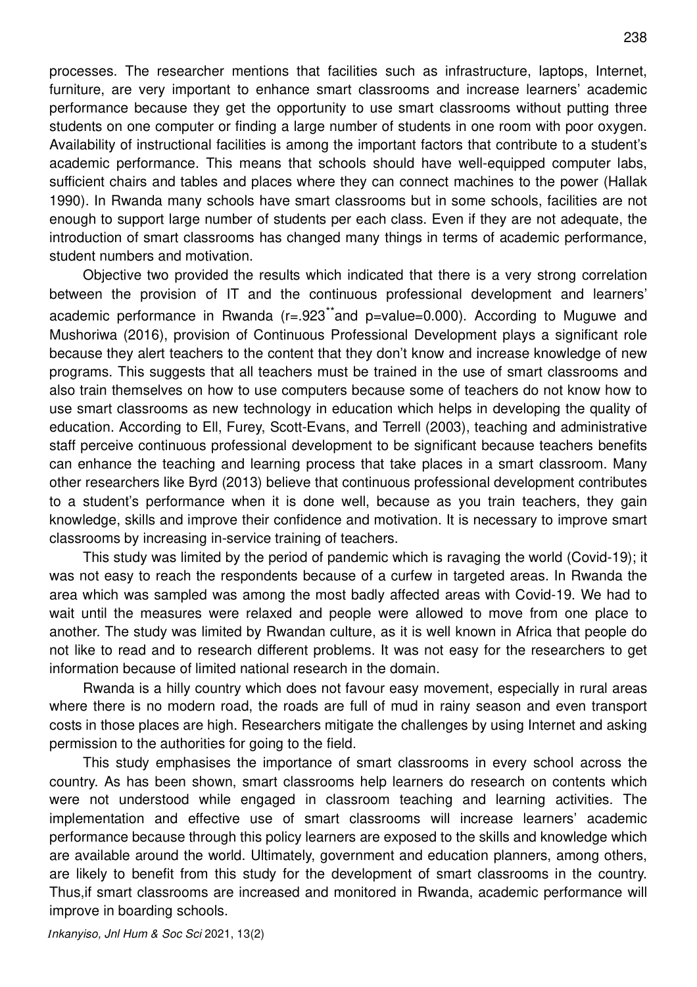processes. The researcher mentions that facilities such as infrastructure, laptops, Internet, furniture, are very important to enhance smart classrooms and increase learners' academic performance because they get the opportunity to use smart classrooms without putting three students on one computer or finding a large number of students in one room with poor oxygen. Availability of instructional facilities is among the important factors that contribute to a student's academic performance. This means that schools should have well-equipped computer labs, sufficient chairs and tables and places where they can connect machines to the power (Hallak 1990). In Rwanda many schools have smart classrooms but in some schools, facilities are not enough to support large number of students per each class. Even if they are not adequate, the introduction of smart classrooms has changed many things in terms of academic performance, student numbers and motivation.

Objective two provided the results which indicated that there is a very strong correlation between the provision of IT and the continuous professional development and learners' academic performance in Rwanda ( $r = .923$ \*\*and p=value=0.000). According to Muguwe and Mushoriwa (2016), provision of Continuous Professional Development plays a significant role because they alert teachers to the content that they don't know and increase knowledge of new programs. This suggests that all teachers must be trained in the use of smart classrooms and also train themselves on how to use computers because some of teachers do not know how to use smart classrooms as new technology in education which helps in developing the quality of education. According to Ell, Furey, Scott-Evans, and Terrell (2003), teaching and administrative staff perceive continuous professional development to be significant because teachers benefits can enhance the teaching and learning process that take places in a smart classroom. Many other researchers like Byrd (2013) believe that continuous professional development contributes to a student's performance when it is done well, because as you train teachers, they gain knowledge, skills and improve their confidence and motivation. It is necessary to improve smart classrooms by increasing in-service training of teachers.

This study was limited by the period of pandemic which is ravaging the world (Covid-19); it was not easy to reach the respondents because of a curfew in targeted areas. In Rwanda the area which was sampled was among the most badly affected areas with Covid-19. We had to wait until the measures were relaxed and people were allowed to move from one place to another. The study was limited by Rwandan culture, as it is well known in Africa that people do not like to read and to research different problems. It was not easy for the researchers to get information because of limited national research in the domain.

Rwanda is a hilly country which does not favour easy movement, especially in rural areas where there is no modern road, the roads are full of mud in rainy season and even transport costs in those places are high. Researchers mitigate the challenges by using Internet and asking permission to the authorities for going to the field.

This study emphasises the importance of smart classrooms in every school across the country. As has been shown, smart classrooms help learners do research on contents which were not understood while engaged in classroom teaching and learning activities. The implementation and effective use of smart classrooms will increase learners' academic performance because through this policy learners are exposed to the skills and knowledge which are available around the world. Ultimately, government and education planners, among others, are likely to benefit from this study for the development of smart classrooms in the country. Thus,if smart classrooms are increased and monitored in Rwanda, academic performance will improve in boarding schools.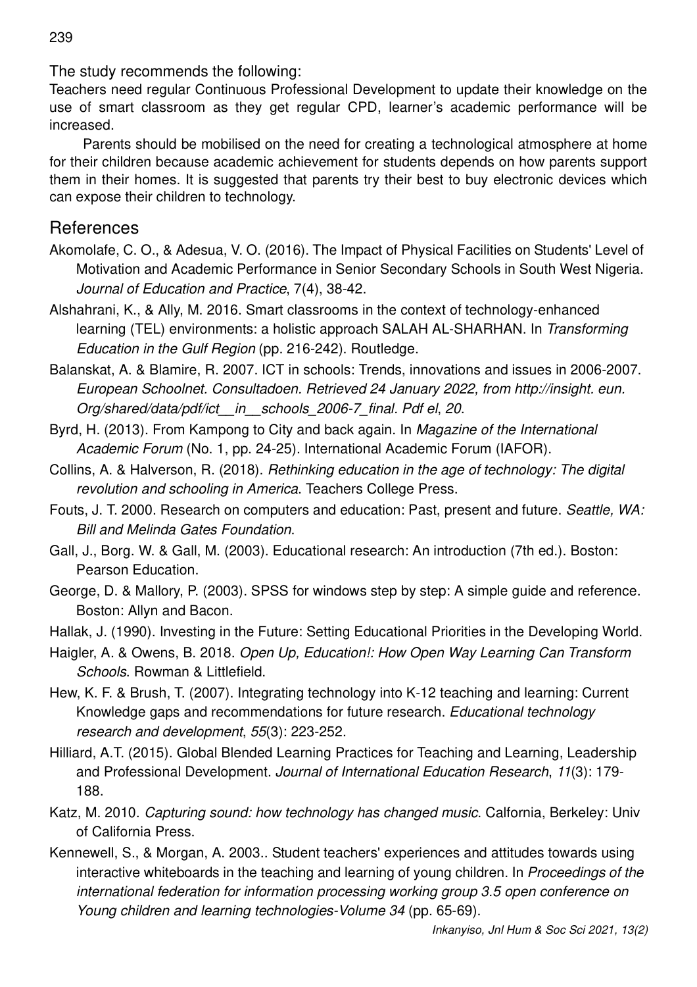The study recommends the following:

Teachers need regular Continuous Professional Development to update their knowledge on the use of smart classroom as they get regular CPD, learner's academic performance will be increased.

Parents should be mobilised on the need for creating a technological atmosphere at home for their children because academic achievement for students depends on how parents support them in their homes. It is suggested that parents try their best to buy electronic devices which can expose their children to technology.

## **References**

- Akomolafe, C. O., & Adesua, V. O. (2016). The Impact of Physical Facilities on Students' Level of Motivation and Academic Performance in Senior Secondary Schools in South West Nigeria. *Journal of Education and Practice*, 7(4), 38-42.
- Alshahrani, K., & Ally, M. 2016. Smart classrooms in the context of technology-enhanced learning (TEL) environments: a holistic approach SALAH AL-SHARHAN. In *Transforming Education in the Gulf Region* (pp. 216-242). Routledge.
- Balanskat, A. & Blamire, R. 2007. ICT in schools: Trends, innovations and issues in 2006-2007. *European Schoolnet. Consultadoen. Retrieved 24 January 2022, from http://insight. eun. Org/shared/data/pdf/ict\_\_in\_\_schools\_2006-7\_final. Pdf el*, *20*.
- Byrd, H. (2013). From Kampong to City and back again. In *Magazine of the International Academic Forum* (No. 1, pp. 24-25). International Academic Forum (IAFOR).
- Collins, A. & Halverson, R. (2018). *Rethinking education in the age of technology: The digital revolution and schooling in America*. Teachers College Press.
- Fouts, J. T. 2000. Research on computers and education: Past, present and future. *Seattle, WA: Bill and Melinda Gates Foundation*.
- Gall, J., Borg. W. & Gall, M. (2003). Educational research: An introduction (7th ed.). Boston: Pearson Education.
- George, D. & Mallory, P. (2003). SPSS for windows step by step: A simple guide and reference. Boston: Allyn and Bacon.
- Hallak, J. (1990). Investing in the Future: Setting Educational Priorities in the Developing World.
- Haigler, A. & Owens, B. 2018. *Open Up, Education!: How Open Way Learning Can Transform Schools*. Rowman & Littlefield.
- Hew, K. F. & Brush, T. (2007). Integrating technology into K-12 teaching and learning: Current Knowledge gaps and recommendations for future research. *Educational technology research and development*, *55*(3): 223-252.
- Hilliard, A.T. (2015). Global Blended Learning Practices for Teaching and Learning, Leadership and Professional Development. *Journal of International Education Research*, *11*(3): 179- 188.
- Katz, M. 2010. *Capturing sound: how technology has changed music*. Calfornia, Berkeley: Univ of California Press.
- Kennewell, S., & Morgan, A. 2003.. Student teachers' experiences and attitudes towards using interactive whiteboards in the teaching and learning of young children. In *Proceedings of the international federation for information processing working group 3.5 open conference on Young children and learning technologies-Volume 34* (pp. 65-69).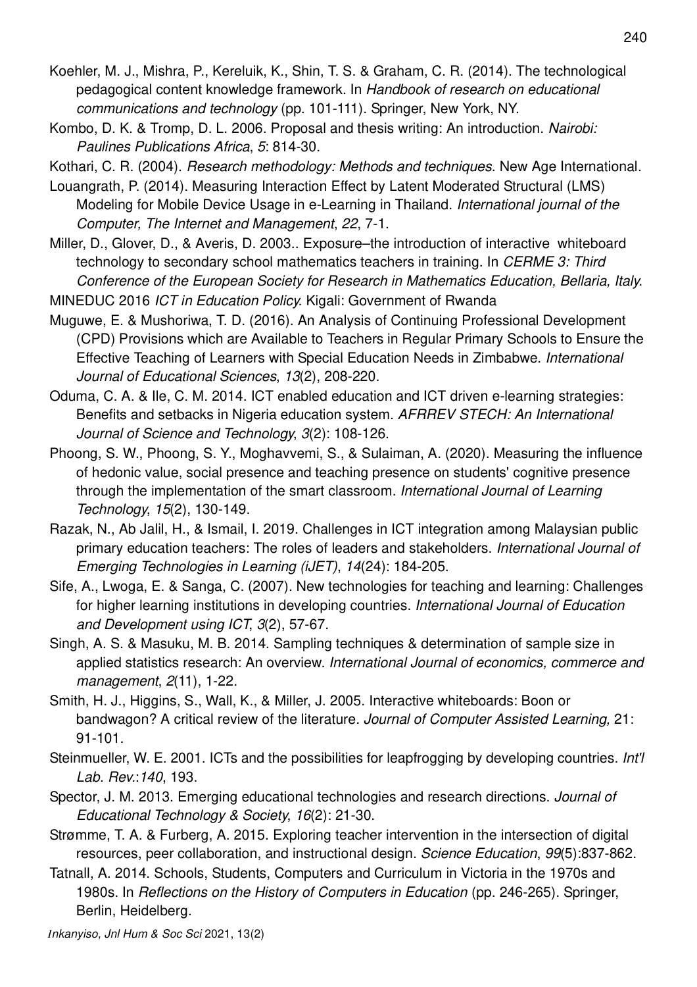- Koehler, M. J., Mishra, P., Kereluik, K., Shin, T. S. & Graham, C. R. (2014). The technological pedagogical content knowledge framework. In *Handbook of research on educational communications and technology* (pp. 101-111). Springer, New York, NY.
- Kombo, D. K. & Tromp, D. L. 2006. Proposal and thesis writing: An introduction. *Nairobi: Paulines Publications Africa*, *5*: 814-30.

Kothari, C. R. (2004). *Research methodology: Methods and techniques*. New Age International.

- Louangrath, P. (2014). Measuring Interaction Effect by Latent Moderated Structural (LMS) Modeling for Mobile Device Usage in e-Learning in Thailand. *International journal of the Computer, The Internet and Management*, *22*, 7-1.
- Miller, D., Glover, D., & Averis, D. 2003.. Exposure–the introduction of interactive whiteboard technology to secondary school mathematics teachers in training. In *CERME 3: Third Conference of the European Society for Research in Mathematics Education, Bellaria, Italy*.
- MINEDUC 2016 *ICT in Education Policy*. Kigali: Government of Rwanda
- Muguwe, E. & Mushoriwa, T. D. (2016). An Analysis of Continuing Professional Development (CPD) Provisions which are Available to Teachers in Regular Primary Schools to Ensure the Effective Teaching of Learners with Special Education Needs in Zimbabwe. *International Journal of Educational Sciences*, *13*(2), 208-220.
- Oduma, C. A. & Ile, C. M. 2014. ICT enabled education and ICT driven e-learning strategies: Benefits and setbacks in Nigeria education system. *AFRREV STECH: An International Journal of Science and Technology*, *3*(2): 108-126.
- Phoong, S. W., Phoong, S. Y., Moghavvemi, S., & Sulaiman, A. (2020). Measuring the influence of hedonic value, social presence and teaching presence on students' cognitive presence through the implementation of the smart classroom. *International Journal of Learning Technology*, *15*(2), 130-149.
- Razak, N., Ab Jalil, H., & Ismail, I. 2019. Challenges in ICT integration among Malaysian public primary education teachers: The roles of leaders and stakeholders. *International Journal of Emerging Technologies in Learning (iJET)*, *14*(24): 184-205.
- Sife, A., Lwoga, E. & Sanga, C. (2007). New technologies for teaching and learning: Challenges for higher learning institutions in developing countries. *International Journal of Education and Development using ICT*, *3*(2), 57-67.
- Singh, A. S. & Masuku, M. B. 2014. Sampling techniques & determination of sample size in applied statistics research: An overview. *International Journal of economics, commerce and management*, *2*(11), 1-22.
- Smith, H. J., Higgins, S., Wall, K., & Miller, J. 2005. Interactive whiteboards: Boon or bandwagon? A critical review of the literature. *Journal of Computer Assisted Learning,* 21: 91-101.
- Steinmueller, W. E. 2001. ICTs and the possibilities for leapfrogging by developing countries. *Int'l Lab. Rev.*:*140*, 193.
- Spector, J. M. 2013. Emerging educational technologies and research directions. *Journal of Educational Technology & Society*, *16*(2): 21-30.
- Strømme, T. A. & Furberg, A. 2015. Exploring teacher intervention in the intersection of digital resources, peer collaboration, and instructional design. *Science Education*, *99*(5):837-862.
- Tatnall, A. 2014. Schools, Students, Computers and Curriculum in Victoria in the 1970s and 1980s. In *Reflections on the History of Computers in Education* (pp. 246-265). Springer, Berlin, Heidelberg.